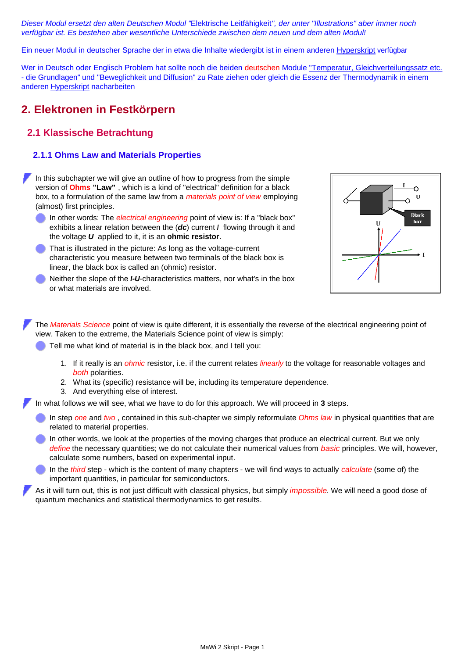*Dieser Modul ersetzt den alten Deutschen Modul "*[Elektrische Leitfähigkeit](http://www.tf.uni-kiel.de/matwis/amat/mw2_ge/kap_2/illustr/r2_1_1.html)*", der unter "Illustrations" aber immer noch verfügbar ist. Es bestehen aber wesentliche Unterschiede zwischen dem neuen und dem alten Modul!*

Ein neuer Modul in deutscher Sprache der in etwa die Inhalte wiedergibt ist in einem anderen [Hyperskript](http://www.tf.uni-kiel.de/matwis/amat/mw_for_et/kap_8/backbone/r8_1_1.html) verfügbar

Wer in Deutsch oder Englisch Problem hat sollte noch die beiden deutschen Module ["Temperatur, Gleichverteilungssatz etc.](http://www.tf.uni-kiel.de/matwis/amat/mw2_ge/kap_2/basics/t2_1_1.html) [- die Grundlagen"](http://www.tf.uni-kiel.de/matwis/amat/mw2_ge/kap_2/basics/t2_1_1.html) und ["Beweglichkeit und Diffusion"](http://www.tf.uni-kiel.de/matwis/amat/mw2_ge/kap_2/illustr/t2_1_1.html) zu Rate ziehen oder gleich die Essenz der Thermodynamik in einem anderen [Hyperskript](http://www.tf.uni-kiel.de/matwis/amat/mw_for_et/kap_5/backbone/r5.html) nacharbeiten

# **2. Elektronen in Festkörpern**

## **2.1 Klassische Betrachtung**

#### **2.1.1 Ohms Law and Materials Properties**

In this subchapter we will give an outline of how to progress from the simple version of **Ohms "Law"** , which is a kind of "electrical" definition for a black box, to a formulation of the same law from a *materials point of view* employing (almost) first principles.

- In other words: The *electrical engineering* point of view is: If a "black box" exhibits a linear relation between the (*dc*) current *I* flowing through it and the voltage *U* applied to it, it is an **ohmic resistor**.
- That is illustrated in the picture: As long as the voltage-current characteristic you measure between two terminals of the black box is linear, the black box is called an (ohmic) resistor.
- Neither the slope of the *I-U*-characteristics matters, nor what's in the box or what materials are involved.



The *Materials Science* point of view is quite different, it is essentially the reverse of the electrical engineering point of view. Taken to the extreme, the Materials Science point of view is simply:

Tell me what kind of material is in the black box, and I tell you:

- 1. If it really is an *ohmic* resistor, i.e. if the current relates *linearly* to the voltage for reasonable voltages and *both* polarities.
- 2. What its (specific) resistance will be, including its temperature dependence.
- 3. And everything else of interest.

In what follows we will see, what we have to do for this approach. We will proceed in **3** steps.

- In step *one* and *two* , contained in this sub-chapter we simply reformulate *Ohms law* in physical quantities that are related to material properties.
- In other words, we look at the properties of the moving charges that produce an electrical current. But we only *define* the necessary quantities; we do not calculate their numerical values from *basic* principles. We will, however, calculate some numbers, based on experimental input.
- In the *third* step which is the content of many chapters we will find ways to actually *calculate* (some of) the important quantities, in particular for semiconductors.

As it will turn out, this is not just difficult with classical physics, but simply *impossible*. We will need a good dose of quantum mechanics and statistical thermodynamics to get results.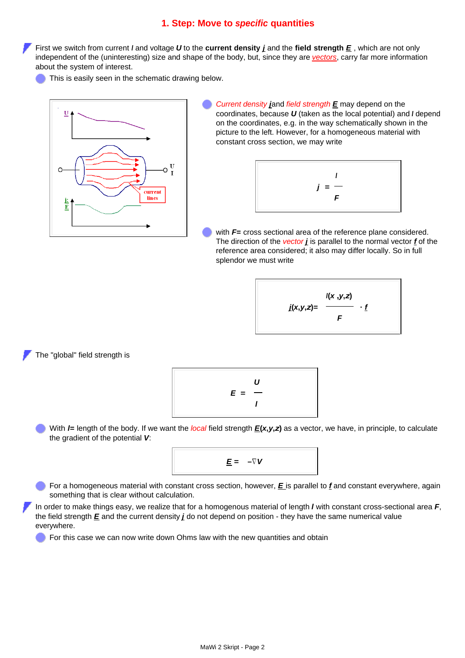#### **1. Step: Move to** *specific* **quantities**

First we switch from current *I* and voltage *U* to the **current density** *j* and the **field strength** *E* , which are not only independent of the (uninteresting) size and shape of the body, but, since they are *[vectors](http://www.tf.uni-kiel.de/matwis/amat/mw1_ge/kap_3/basics/m3_1_1.html)*, carry far more information about the system of interest.

This is easily seen in the schematic drawing below.



*Current density j*and *field strength E* may depend on the coordinates, because *U* (taken as the local potential) and *I* depend on the coordinates, e.g. in the way schematically shown in the picture to the left. However, for a homogeneous material with constant cross section, we may write



with *F***=** cross sectional area of the reference plane considered. The direction of the *vector j* is parallel to the normal vector *f* of the reference area considered; it also may differ locally. So in full splendor we must write



The "global" field strength is

$$
E = \frac{U}{I}
$$

With *l***=** length of the body. If we want the *local* field strength *E***(***x***,***y***,***z***)** as a vector, we have, in principle, to calculate the gradient of the potential *V*:



For a homogeneous material with constant cross section, however, *E* is parallel to *f* and constant everywhere, again something that is clear without calculation.

In order to make things easy, we realize that for a homogenous material of length *l* with constant cross-sectional area *F*, the field strength *E* and the current density *j* do not depend on position - they have the same numerical value everywhere.

For this case we can now write down Ohms law with the new quantities and obtain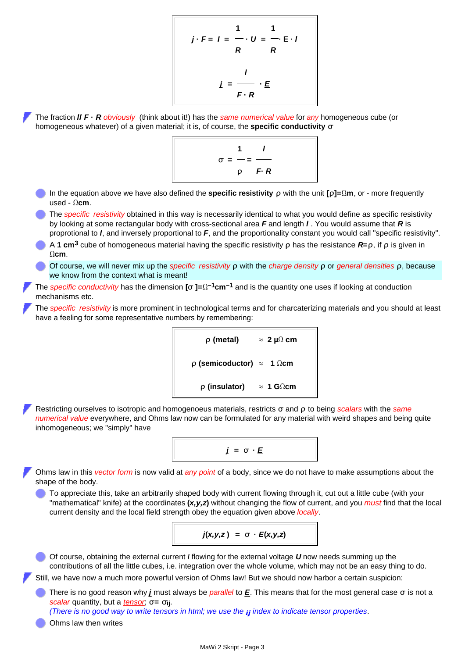$$
j \cdot F = I = \frac{1}{R} \cdot U = \frac{1}{R} \cdot I
$$

$$
i = \frac{I}{F \cdot R}
$$

The fraction *l***/** *F* **·** *R obviously* (think about it!) has the *same numerical value* for *any* homogeneous cube (or homogeneous whatever) of a given material; it is, of course, the **specific conductivity σ**



- In the equation above we have also defined the **specific resistivity** *ρ* with the unit **[ρ]=Ωm**, or more frequently used - **Ωcm**.
- The *specific resistivity* obtained in this way is necessarily identical to what you would define as specific resistivity by looking at some rectangular body with cross-sectional area *F* and length *l* . You would assume that *R* is proprotional to *l*, and inversely proportional to *F*, and the proportionality constant you would call "specific resistivity".
- A **1 cm3** cube of homogeneous material having the specific resistivity **ρ** has the resistance *R***=ρ**, if **ρ** is given in **Ωcm**.
- Of course, we will never mix up the *specific resistivity* **ρ** with the *charge density* **ρ** or *general densities* **ρ**, because we know from the context what is meant!
- The *specific conductivity* has the dimension **[σ ]=Ω–1cm–1** and is the quantity one uses if looking at conduction mechanisms etc.
- The *specific resistivity* is more prominent in technological terms and for charcaterizing materials and you should at least have a feeling for some representative numbers by remembering:

```
ρ (metal) ≈ 2 µΩ cm
ρ (semicoductor) ≈ 1 Ωcm
  ρ (insulator) ≈ 1 GΩcm
```
<span id="page-2-0"></span>Restricting ourselves to isotropic and homogenoeus materials, restricts **σ** and **ρ** to being *scalars* with the *same numerical value* everywhere, and Ohms law now can be formulated for any material with weird shapes and being quite inhomogeneous; we "simply" have



Ohms law in this *vector form* is now valid at *any point* of a body, since we do not have to make assumptions about the shape of the body.

To appreciate this, take an arbitrarily shaped body with current flowing through it, cut out a little cube (with your "mathematical" knife) at the coordinates **(***x,y,z***)** without changing the flow of current, and you *must* find that the local current density and the local field strength obey the equation given above *locally*.



Of course, obtaining the external current *I* flowing for the external voltage *U* now needs summing up the contributions of all the little cubes, i.e. integration over the whole volume, which may not be an easy thing to do.

Still, we have now a much more powerful version of Ohms law! But we should now harbor a certain suspicion:

There is no good reason why *j* must always be *parallel* to *E*. This means that for the most general case **σ** is not a *scalar* quantity, but a *[tensor](http://www.tf.uni-kiel.de/matwis/amat/mw1_ge/kap_7/backbone/r7_2_1.html)*; **σ= σij**.

*(There is no good way to write tensors in html; we use the ij index to indicate tensor properties*.

Ohms law then writes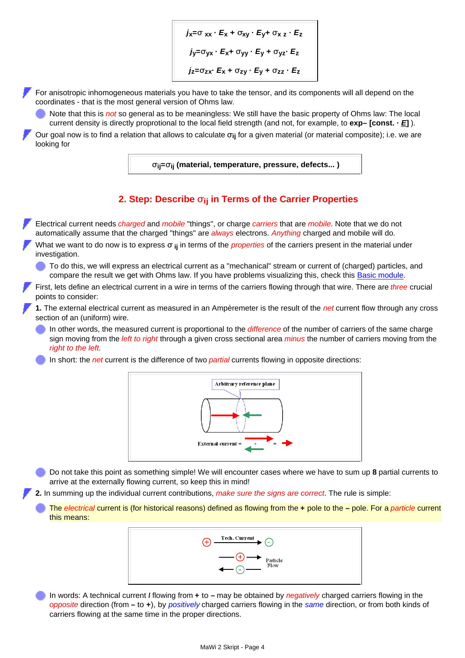$j$ **x=** $\sigma$  **xx**  $\cdot$  *E***<sub>x</sub>** +  $\sigma$ <sub>x**v** $\cdot$  *E***<sub>V</sub>+**  $\sigma$ <sub>x</sub><sub>z</sub> $\cdot$  *E*<sub>z</sub></sub> *j***y=σyx ·** *E***x+ σyy ·** *E***y + σyz·** *E***z**  $j_z = \sigma_{zx}$ **·**  $E_x + \sigma_{zy}$ **·**  $E_y + \sigma_{zz}$ **·**  $E_z$ 

For anisotropic inhomogeneous materials you have to take the tensor, and its components will all depend on the coordinates - that is the most general version of Ohms law.

Note that this is *not* so general as to be meaningless: We still have the basic property of Ohms law: The local current density is directly proprotional to the local field strength (and not, for example, to **exp– [const. ·** *E***]** ).

Our goal now is to find a relation that allows to calculate **σij** for a given material (or material composite); i.e. we are looking for

**σij=σij (material, temperature, pressure, defects... )**

### **2. Step: Describe σij in Terms of the Carrier Properties**

Electrical current needs *charged* and *mobile* "things", or charge *carriers* that are *mobile*. Note that we do not automatically assume that the charged "things" are *always* electrons. *Anything* charged and mobile will do.

- What we want to do now is to express **σ ij** in terms of the *properties* of the carriers present in the material under investigation.
	- To do this, we will express an electrical current as a "mechanical" stream or current of (charged) particles, and compare the result we get with Ohms law. If you have problems visualizing this, check this **[Basic module](http://www.tf.uni-kiel.de/matwis/amat/mw2_ge/kap_2/basics/t2_1_1.html)**.
- First, lets define an electrical current in a wire in terms of the carriers flowing through that wire. There are *three* crucial points to consider:

**1.** The external electrical current as measured in an Ampèremeter is the result of the *net* current flow through any cross section of an (uniform) wire.

In other words, the measured current is proportional to the *difference* of the number of carriers of the same charge sign moving from the *left to right* through a given cross sectional area *minus* the number of carriers moving from the *right to the left*.

In short: the *net* current is the difference of two *partial* currents flowing in opposite directions:



Do not take this point as something simple! We will encounter cases where we have to sum up **8** partial currents to arrive at the externally flowing current, so keep this in mind!

<span id="page-3-0"></span>**2.** In summing up the individual current contributions, *make sure the signs are correct*. The rule is simple:

The *electrical* current is (for historical reasons) defined as flowing from the **+** pole to the **–** pole. For a *particle* current this means:



In words: A technical current *I* flowing from **+** to **–** may be obtained by *negatively* charged carriers flowing in the *opposite* direction (from **–** to **+**), by *positively* charged carriers flowing in the *same* direction, or from both kinds of carriers flowing at the same time in the proper directions.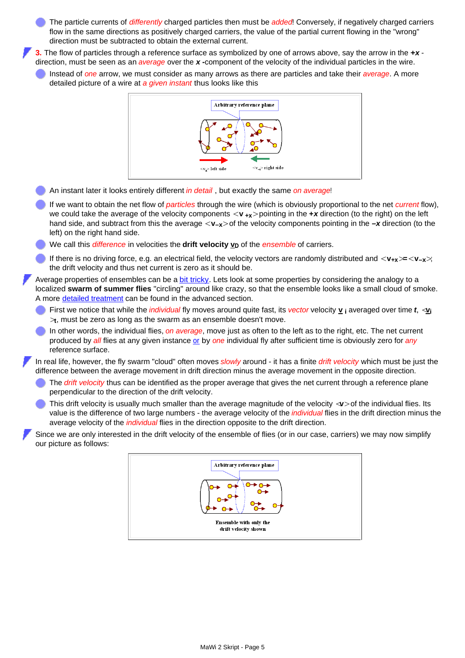The particle currents of *differently* charged particles then must be *added*! Conversely, if negatively charged carriers flow in the same directions as positively charged carriers, the value of the partial current flowing in the "wrong" direction must be subtracted to obtain the external current.

**3.** The flow of particles through a reference surface as symbolized by one of arrows above, say the arrow in the **+***x* direction, must be seen as an *average* over the *x* **-**component of the velocity of the individual particles in the wire.

Instead of *one* arrow, we must consider as many arrows as there are particles and take their *average*. A more detailed picture of a wire at *a given instant* thus looks like this



- An instant later it looks entirely different *in detail* , but exactly the same *on average*!
- If we want to obtain the net flow of *particles* through the wire (which is obviously proportional to the net *current* flow), we could take the average of the velocity components  $\langle \mathbf{v}_{+x} \rangle$  pointing in the  $+x$  direction (to the right) on the left hand side, and subtract from this the average **< v–x>** of the velocity components pointing in the **–***x* direction (to the left) on the right hand side.
- We call this *difference* in velocities the **drift velocity**  $v<sub>D</sub>$  of the *ensemble* of carriers.
- If there is no driving force, e.g. an electrical field, the velocity vectors are randomly distributed and **< v+x>=< v–x>**; the drift velocity and thus net current is zero as it should be.

Average properties of ensembles can be a [bit tricky](http://www.tf.uni-kiel.de/matwis/amat/mw2_ge/kap_2/basics/t2_1_1.html). Lets look at some properties by considering the analogy to a localized **swarm of summer flies** "circling" around like crazy, so that the ensemble looks like a small cloud of smoke. A more [detailed treatment](http://www.tf.uni-kiel.de/matwis/amat/mw2_ge/kap_2/advanced/m2_1_1.html) can be found in the advanced section.

- First we notice that while the *individual* fly moves around quite fast, its *vector* velocity **v i** averaged over time *t*, **<v<sup>i</sup> >t** , must be zero as long as the swarm as an ensemble doesn't move.
- In other words, the individual flies, *on average*, move just as often to the left as to the right, etc. The net current produced by *all* flies at any given instance [or](http://www.tf.uni-kiel.de/matwis/amat/mw1_ge/kap_6/advanced/t6_3_1.html) by *one* individual fly after sufficient time is obviously zero for *any* reference surface.

In real life, however, the fly swarm "cloud" often moves *slowly* around - it has a finite *drift velocity* which must be just the difference between the average movement in drift direction minus the average movement in the opposite direction.

- The *drift velocity* thus can be identified as the proper average that gives the net current through a reference plane perpendicular to the direction of the drift velocity.
- This drift velocity is usually much smaller than the average magnitude of the velocity **<v>** of the individual flies. Its value is the difference of two large numbers - the average velocity of the *individual* flies in the drift direction minus the average velocity of the *individual* flies in the direction opposite to the drift direction.

Since we are only interested in the drift velocity of the ensemble of flies (or in our case, carriers) we may now simplify our picture as follows:

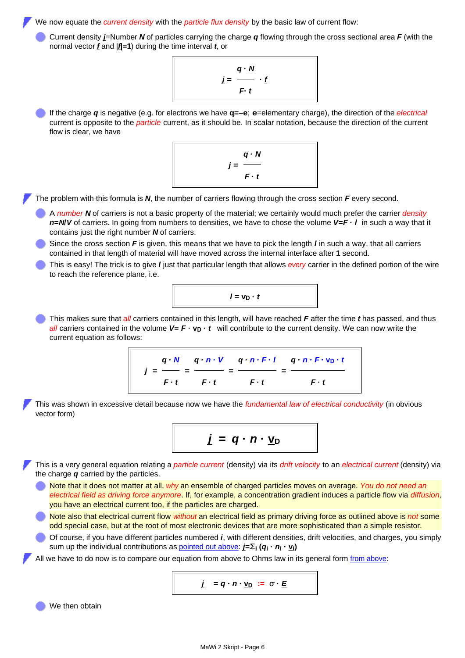We now equate the *current density* with the *particle flux density* by the basic law of current flow:

Current density *j*=Number *N* of particles carrying the charge *q* flowing through the cross sectional area *F* (with the normal vector *f* and **|***f***|=1**) during the time interval *t*, or

$$
j = \frac{q \cdot N}{F \cdot t}
$$

If the charge *q* is negative (e.g. for electrons we have **q=–e**; **e**=elementary charge), the direction of the *electrical* current is opposite to the *particle* current, as it should be. In scalar notation, because the direction of the current flow is clear, we have



The problem with this formula is *N*, the number of carriers flowing through the cross section *F* every second.

- A *number N* of carriers is not a basic property of the material; we certainly would much prefer the carrier *density n***=***N***/***V* of carriers. In going from numbers to densities, we have to chose the volume *V***=***F* **·** *l* in such a way that it contains just the right number *N* of carriers.
- Since the cross section *F* is given, this means that we have to pick the length *l* in such a way, that all carriers contained in that length of material will have moved across the internal interface after **1** second.
- This is easy! The trick is to give *l* just that particular length that allows *every* carrier in the defined portion of the wire to reach the reference plane, i.e.

$$
I = V_D \cdot t
$$

This makes sure that *all* carriers contained in this length, will have reached *F* after the time *t* has passed, and thus *all* carriers contained in the volume  $V = F \cdot v_D \cdot t$  will contribute to the current density. We can now write the current equation as follows:

$$
j = \frac{q \cdot N}{F \cdot t} = \frac{q \cdot n \cdot V}{F \cdot t} = \frac{q \cdot n \cdot F \cdot l}{F \cdot t} = \frac{q \cdot n \cdot F \cdot v_D \cdot t}{F \cdot t}
$$

This was shown in excessive detail because now we have the *fundamental law of electrical conductivity* (in obvious vector form)



This is a very general equation relating a *particle current* (density) via its *drift velocity* to an *electrical current* (density) via the charge *q* carried by the particles.

Note that it does not matter at all, *why* an ensemble of charged particles moves on average. *You do not need an electrical field as driving force anymore*. If, for example, a concentration gradient induces a particle flow via *diffusion*, you have an electrical current too, if the particles are charged.

Note also that electrical current flow *without* an electrical field as primary driving force as outlined above is *not* some odd special case, but at the root of most electronic devices that are more sophisticated than a simple resistor.

Of course, if you have different particles numbered *i*, with different densities, drift velocities, and charges, you simply sum up the individual contributions as [pointed out above:](#page-3-0) *j***=Σ<sup>i</sup> (***q***i ·** *n***i · vi)**

All we have to do now is to compare our equation [from above](#page-2-0) to Ohms law in its general form *from above*:

*j* **=** *q · n ·* **v<sup>D</sup> := σ ·** *E*

We then obtain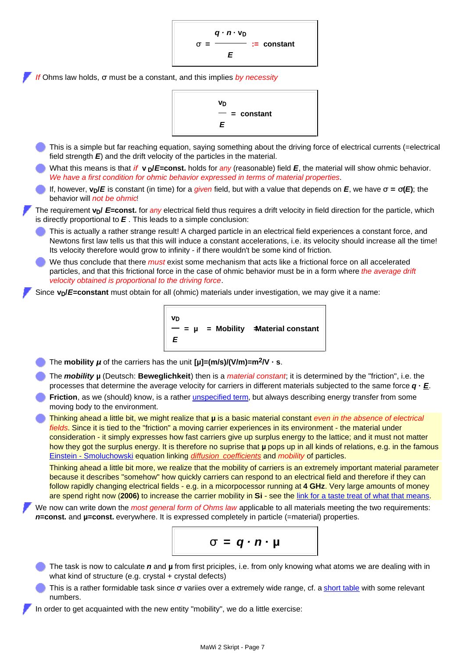**σ =**  *q · n* **· v<sup>D</sup>** *E* **:= constant**

*If* Ohms law holds, **σ** must be a constant, and this implies *by necessity*

$$
\frac{v_D}{E} = \text{constant}
$$

- This is a simple but far reaching equation, saying something about the driving force of electrical currents (=electrical field strength *E*) and the drift velocity of the particles in the material.
- What this means is that *if* **v**  $p$ /*E*=const. holds for *any* (reasonable) field *E*, the material will show ohmic behavior. *We have a first condition for ohmic behavior expressed in terms of material properties*.
- lf, however,  $v<sub>D</sub>/E$  is constant (in time) for a *given* field, but with a value that depends on *E*, we have  $σ = σ(E)$ ; the behavior will *not be ohmic*!

The requirement **v<sub>D</sub>** E=const. for *any* electrical field thus requires a drift velocity in field direction for the particle, which is directly proportional to *E* . This leads to a simple conclusion:

- This is actually a rather strange result! A charged particle in an electrical field experiences a constant force, and Newtons first law tells us that this will induce a constant accelerations, i.e. its velocity should increase all the time! Its velocity therefore would grow to infinity - if there wouldn't be some kind of friction.
- We thus conclude that there *must* exist some mechanism that acts like a frictional force on all accelerated particles, and that this frictional force in the case of ohmic behavior must be in a form where *the average drift velocity obtained is proportional to the driving force*.

Since *v***<sub>D</sub>**/*E*=constant must obtain for all (ohmic) materials under investigation, we may give it a name:

**v<sup>D</sup>** *E*  **= µ = Mobility = Material constant**

- The **mobility**  $\mu$  of the carriers has the unit  $\mu$ **=(m/s)/(V/m)=m<sup>2</sup>/V** · s.
- The *mobility* **µ** (Deutsch: **Beweglichkeit**) then is a *material constant*; it is determined by the "friction", i.e. the processes that determine the average velocity for carriers in different materials subjected to the same force  $q \cdot E$ .
- Friction, as we (should) know, is a rather *unspecified term*, but always describing energy transfer from some moving body to the environment.

Thinking ahead a little bit, we might realize that **µ** is a basic material constant *even in the absence of electrical fields*. Since it is tied to the "friction" a moving carrier experiences in its environment - the material under consideration - it simply expresses how fast carriers give up surplus energy to the lattice; and it must not matter how they got the surplus energy. It is therefore no suprise that **µ** pops up in all kinds of relations, e.g. in the famous [Einstein - Smoluchowski](http://www.tf.uni-kiel.de/matwis/amat/semi_en/kap_2/backbone/r2_3_4.html) equation linking *[diffusion coefficients](http://www.tf.uni-kiel.de/matwis/amat/mw1_ge/kap_6/backbone/r6_2_2.html)* and *mobility* of particles.

Thinking ahead a little bit more, we realize that the mobility of carriers is an extremely important material parameter because it describes "somehow" how quickly carriers can respond to an electrical field and therefore if they can follow rapidly changing electrical fields - e.g. in a micorpocessor running at **4 GHz**. Very large amounts of money are spend right now (**2006)** to increase the carrier mobility in **Si** - see the [link for a taste treat of what that means](http://www.tf.uni-kiel.de/matwis/amat/mw2_ge/kap_2/advanced/t2_1_3.html).

We now can write down the *most general form of Ohms law* applicable to all materials meeting the two requirements: *n***=const.** and **µ=const.** everywhere. It is expressed completely in particle (=material) properties.



- The task is now to calculate *n* and **µ** from first priciples, i.e. from only knowing what atoms we are dealing with in what kind of structure (e.g. crystal + crystal defects)
- This is a rather formidable task since **σ** variies over a extremely wide range, cf. a [short table](http://www.tf.uni-kiel.de/matwis/amat/mw2_ge/kap_2/illustr/i2_1_1.html) with some relevant numbers.
- In order to get acquainted with the new entity "mobility", we do a little exercise: